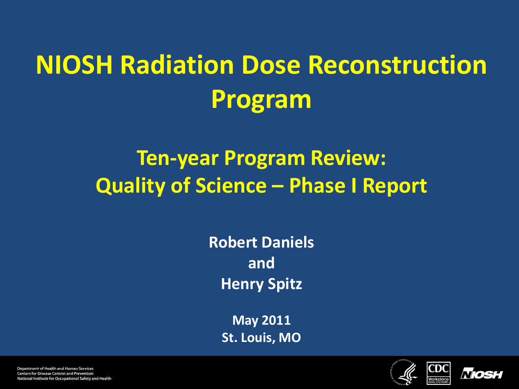# **NIOSH Radiation Dose Reconstruction Program**

### **Ten-year Program Review: Quality of Science – Phase I Report**

**Robert Daniels and Henry Spitz**

> **May 2011 St. Louis, MO**



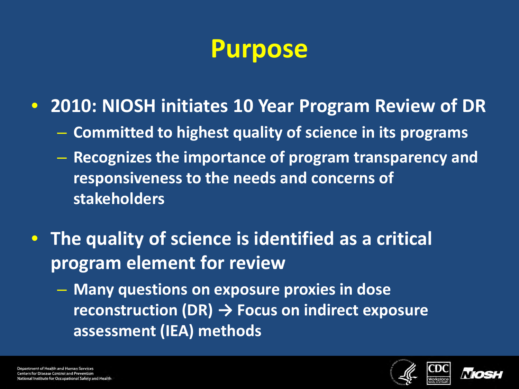### **Purpose**

- **2010: NIOSH initiates 10 Year Program Review of DR**
	- **Committed to highest quality of science in its programs**
	- **Recognizes the importance of program transparency and responsiveness to the needs and concerns of stakeholders**
- **The quality of science is identified as a critical program element for review**
	- **Many questions on exposure proxies in dose reconstruction (DR) → Focus on indirect exposure assessment (IEA) methods**



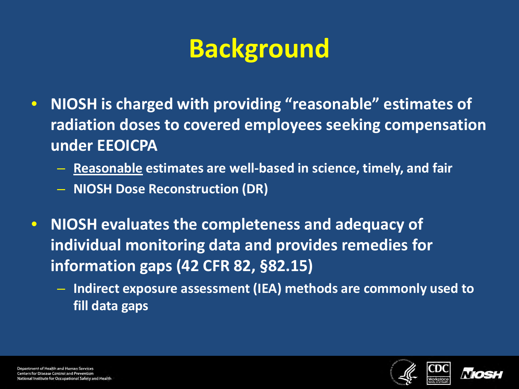# **Background**

- **NIOSH is charged with providing "reasonable" estimates of radiation doses to covered employees seeking compensation under EEOICPA**
	- **Reasonable estimates are well-based in science, timely, and fair**
	- **NIOSH Dose Reconstruction (DR)**
- **NIOSH evaluates the completeness and adequacy of individual monitoring data and provides remedies for information gaps (42 CFR 82, §82.15)**
	- **Indirect exposure assessment (IEA) methods are commonly used to fill data gaps**



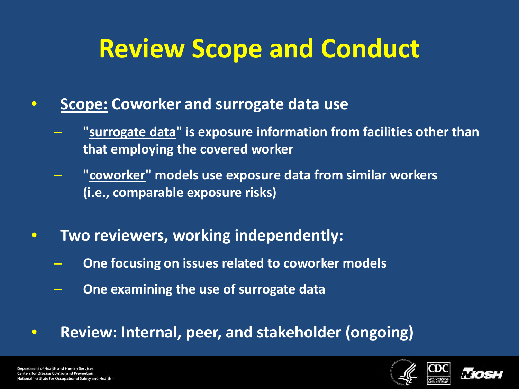# **Review Scope and Conduct**

- **Scope: Coworker and surrogate data use**
	- **"surrogate data" is exposure information from facilities other than that employing the covered worker**
	- **"coworker" models use exposure data from similar workers (i.e., comparable exposure risks)**
- **Two reviewers, working independently:**
	- **One focusing on issues related to coworker models**
	- **One examining the use of surrogate data**
- **Review: Internal, peer, and stakeholder (ongoing)**



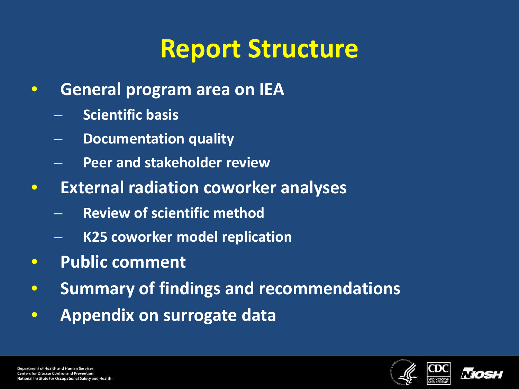# **Report Structure**

- **General program area on IEA**
	- **Scientific basis**
	- **Documentation quality**
	- **Peer and stakeholder review**
- **External radiation coworker analyses**
	- **Review of scientific method**
	- **K25 coworker model replication**
- **Public comment**
- **Summary of findings and recommendations**
- **Appendix on surrogate data**



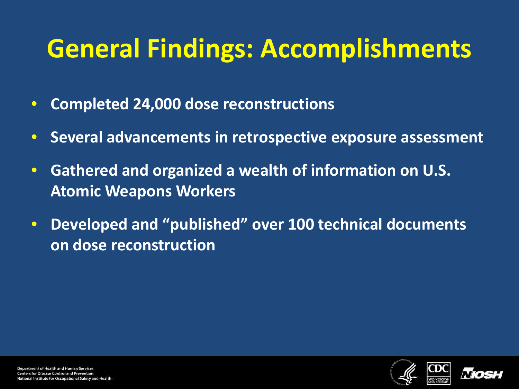# **General Findings: Accomplishments**

- **Completed 24,000 dose reconstructions**
- **Several advancements in retrospective exposure assessment**
- **Gathered and organized a wealth of information on U.S. Atomic Weapons Workers**
- **Developed and "published" over 100 technical documents on dose reconstruction**



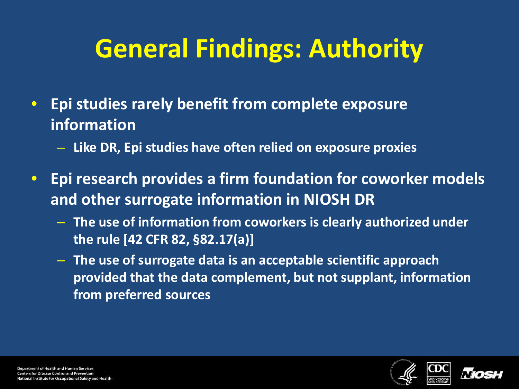# **General Findings: Authority**

- **Epi studies rarely benefit from complete exposure information**
	- **Like DR, Epi studies have often relied on exposure proxies**
- **Epi research provides a firm foundation for coworker models and other surrogate information in NIOSH DR**
	- **The use of information from coworkers is clearly authorized under the rule [42 CFR 82, §82.17(a)]**
	- **The use of surrogate data is an acceptable scientific approach provided that the data complement, but not supplant, information from preferred sources**



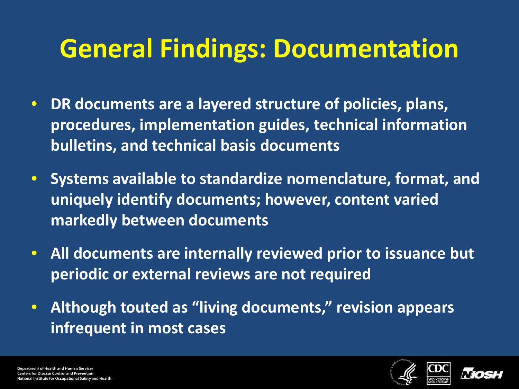## **General Findings: Documentation**

- **DR documents are a layered structure of policies, plans, procedures, implementation guides, technical information bulletins, and technical basis documents**
- **Systems available to standardize nomenclature, format, and uniquely identify documents; however, content varied markedly between documents**
- **All documents are internally reviewed prior to issuance but periodic or external reviews are not required**
- **Although touted as "living documents," revision appears infrequent in most cases**



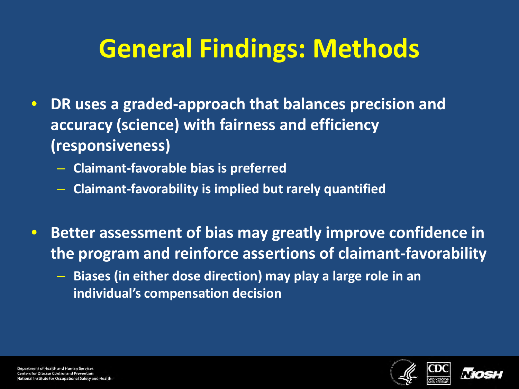# **General Findings: Methods**

- **DR uses a graded-approach that balances precision and accuracy (science) with fairness and efficiency (responsiveness)**
	- **Claimant-favorable bias is preferred**
	- **Claimant-favorability is implied but rarely quantified**
- **Better assessment of bias may greatly improve confidence in the program and reinforce assertions of claimant-favorability**
	- **Biases (in either dose direction) may play a large role in an individual's compensation decision**



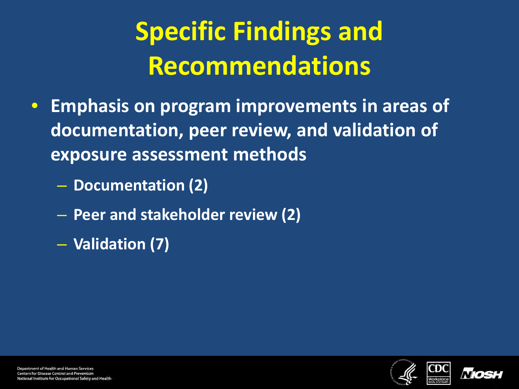# **Specific Findings and Recommendations**

- **Emphasis on program improvements in areas of documentation, peer review, and validation of exposure assessment methods**
	- **Documentation (2)**
	- **Peer and stakeholder review (2)**
	- **Validation (7)**



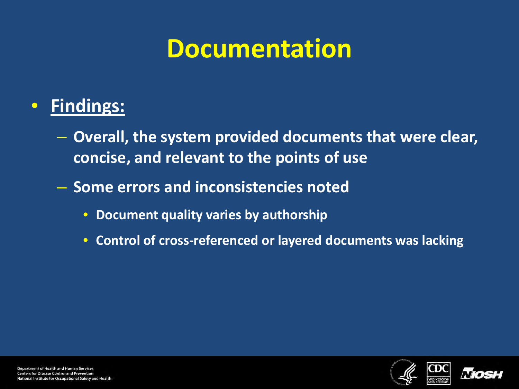# **Documentation**

#### • **Findings:**

- **Overall, the system provided documents that were clear, concise, and relevant to the points of use**
- **Some errors and inconsistencies noted**
	- **Document quality varies by authorship**
	- **Control of cross-referenced or layered documents was lacking**



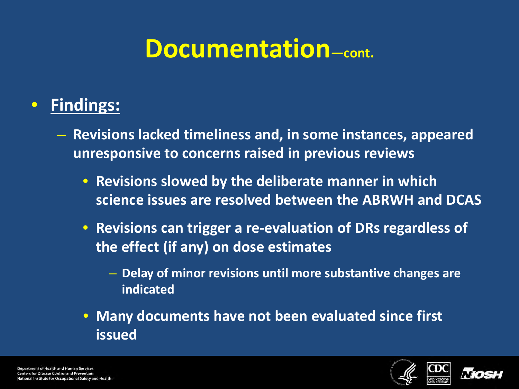### **Documentation—cont.**

#### • **Findings:**

- **Revisions lacked timeliness and, in some instances, appeared unresponsive to concerns raised in previous reviews**
	- **Revisions slowed by the deliberate manner in which science issues are resolved between the ABRWH and DCAS**
	- **Revisions can trigger a re-evaluation of DRs regardless of the effect (if any) on dose estimates**
		- **Delay of minor revisions until more substantive changes are indicated**
	- **Many documents have not been evaluated since first issued**



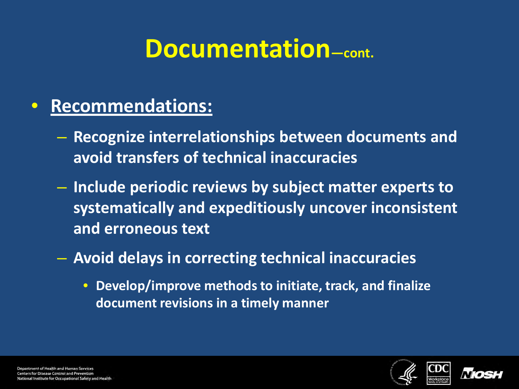### **Documentation—cont.**

#### • **Recommendations:**

- **Recognize interrelationships between documents and avoid transfers of technical inaccuracies**
- **Include periodic reviews by subject matter experts to systematically and expeditiously uncover inconsistent and erroneous text**
- **Avoid delays in correcting technical inaccuracies**
	- **Develop/improve methods to initiate, track, and finalize document revisions in a timely manner**



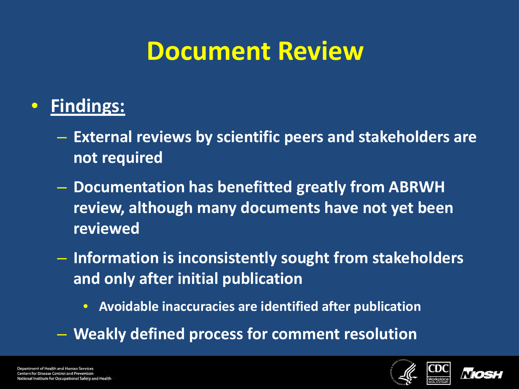### **Document Review**

#### • **Findings:**

- **External reviews by scientific peers and stakeholders are not required**
- **Documentation has benefitted greatly from ABRWH review, although many documents have not yet been reviewed**
- **Information is inconsistently sought from stakeholders and only after initial publication**
	- **Avoidable inaccuracies are identified after publication**
- **Weakly defined process for comment resolution**



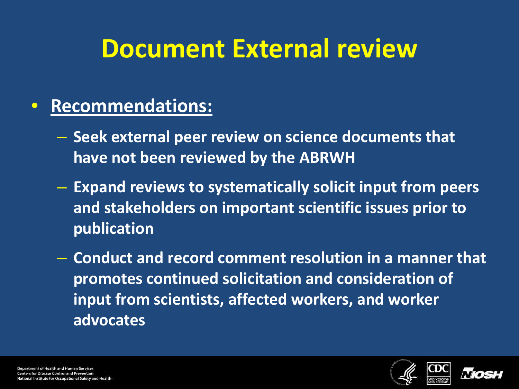# **Document External review**

#### • **Recommendations:**

- **Seek external peer review on science documents that have not been reviewed by the ABRWH**
- **Expand reviews to systematically solicit input from peers and stakeholders on important scientific issues prior to publication**
- **Conduct and record comment resolution in a manner that promotes continued solicitation and consideration of input from scientists, affected workers, and worker advocates**



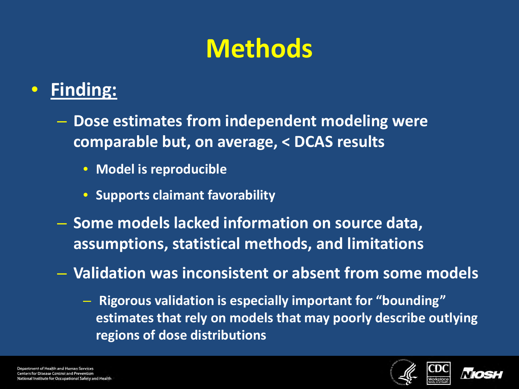# **Methods**

#### • **Finding:**

- **Dose estimates from independent modeling were comparable but, on average, < DCAS results**
	- **Model is reproducible**
	- **Supports claimant favorability**
- **Some models lacked information on source data, assumptions, statistical methods, and limitations**
- **Validation was inconsistent or absent from some models**
	- **Rigorous validation is especially important for "bounding" estimates that rely on models that may poorly describe outlying regions of dose distributions**



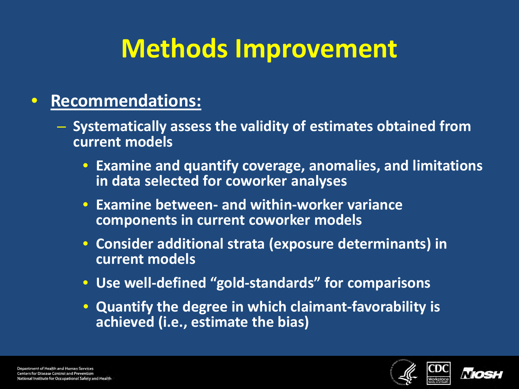# **Methods Improvement**

#### • **Recommendations:**

- **Systematically assess the validity of estimates obtained from current models** 
	- **Examine and quantify coverage, anomalies, and limitations in data selected for coworker analyses**
	- **Examine between- and within-worker variance components in current coworker models**
	- **Consider additional strata (exposure determinants) in current models**
	- **Use well-defined "gold-standards" for comparisons**
	- **Quantify the degree in which claimant-favorability is achieved (i.e., estimate the bias)**